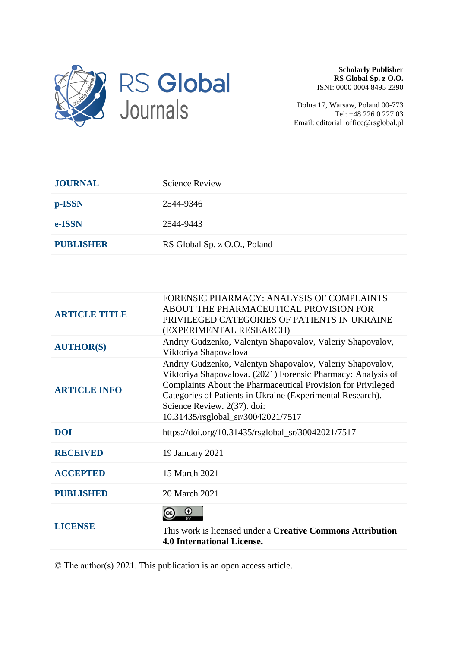

**Scholarly Publisher RS Global Sp. z O.O.** ISNI: 0000 0004 8495 2390

Dolna 17, Warsaw, Poland 00-773 Tel: +48 226 0 227 03 Email: editorial\_office@rsglobal.pl

| <b>JOURNAL</b>   | <b>Science Review</b>        |
|------------------|------------------------------|
| p-ISSN           | 2544-9346                    |
| e-ISSN           | 2544-9443                    |
| <b>PUBLISHER</b> | RS Global Sp. z O.O., Poland |

| <b>ARTICLE TITLE</b> | FORENSIC PHARMACY: ANALYSIS OF COMPLAINTS<br>ABOUT THE PHARMACEUTICAL PROVISION FOR<br>PRIVILEGED CATEGORIES OF PATIENTS IN UKRAINE<br>(EXPERIMENTAL RESEARCH)                                                                                                                                                               |
|----------------------|------------------------------------------------------------------------------------------------------------------------------------------------------------------------------------------------------------------------------------------------------------------------------------------------------------------------------|
| <b>AUTHOR(S)</b>     | Andriy Gudzenko, Valentyn Shapovalov, Valeriy Shapovalov,<br>Viktoriya Shapovalova                                                                                                                                                                                                                                           |
| <b>ARTICLE INFO</b>  | Andriy Gudzenko, Valentyn Shapovalov, Valeriy Shapovalov,<br>Viktoriya Shapovalova. (2021) Forensic Pharmacy: Analysis of<br>Complaints About the Pharmaceutical Provision for Privileged<br>Categories of Patients in Ukraine (Experimental Research).<br>Science Review. 2(37). doi:<br>10.31435/rsglobal_sr/30042021/7517 |
| <b>DOI</b>           | https://doi.org/10.31435/rsglobal_sr/30042021/7517                                                                                                                                                                                                                                                                           |
| <b>RECEIVED</b>      | 19 January 2021                                                                                                                                                                                                                                                                                                              |
| <b>ACCEPTED</b>      | 15 March 2021                                                                                                                                                                                                                                                                                                                |
| <b>PUBLISHED</b>     | 20 March 2021                                                                                                                                                                                                                                                                                                                |
| <b>LICENSE</b>       | 0<br>This work is licensed under a <b>Creative Commons Attribution</b><br><b>4.0 International License.</b>                                                                                                                                                                                                                  |

© The author(s) 2021. This publication is an open access article.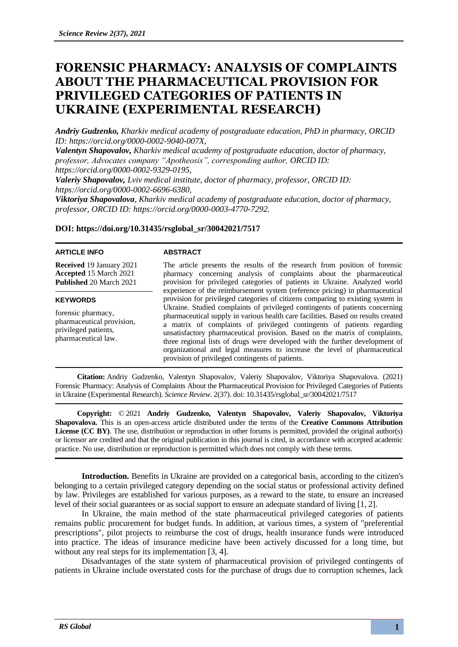# **FORENSIC PHARMACY: ANALYSIS OF COMPLAINTS ABOUT THE PHARMACEUTICAL PROVISION FOR PRIVILEGED CATEGORIES OF PATIENTS IN UKRAINE (EXPERIMENTAL RESEARCH)**

*Andriy Gudzenko, Kharkiv medical academy of postgraduate education, PhD in pharmacy, ORCID ID: https://orcid.org/0000-0002-9040-007X,*

*Valentyn Shapovalov, Kharkiv medical academy of postgraduate education, doctor of pharmacy, professor, Advocates company "Apotheosis", corresponding author, ORCID ID: https://orcid.org/0000-0002-9329-0195,*

*Valeriy Shapovalov, Lviv medical institute, doctor of pharmacy, professor, ORCID ID: https://orcid.org/0000-0002-6696-6380,*

*Viktoriya Shapovalova, Kharkiv medical academy of postgraduate education, doctor of pharmacy, professor, ORCID ID: https://orcid.org/0000-0003-4770-7292.*

# **DOI: https://doi.org/10.31435/rsglobal\_sr/30042021/7517**

#### **ARTICLE INFO**

**Received** 19 January 2021 **Accepted** 15 March 2021 **Published** 20 March 2021

## **KEYWORDS**

forensic pharmacy, pharmaceutical provision, privileged patients, pharmaceutical law.

### **ABSTRACT**

The article presents the results of the research from position of forensic pharmacy concerning analysis of complaints about the pharmaceutical provision for privileged categories of patients in Ukraine. Analyzed world experience of the reimbursement system (reference pricing) in pharmaceutical provision for privileged categories of citizens comparing to existing system in Ukraine. Studied complaints of privileged contingents of patients concerning pharmaceutical supply in various health care facilities. Based on results created a matrix of complaints of privileged contingents of patients regarding unsatisfactory pharmaceutical provision. Based on the matrix of complaints, three regional lists of drugs were developed with the further development of organizational and legal measures to increase the level of pharmaceutical provision of privileged contingents of patients.

**Citation:** Andriy Gudzenko, Valentyn Shapovalov, Valeriy Shapovalov, Viktoriya Shapovalova. (2021) Forensic Pharmacy: Analysis of Complaints About the Pharmaceutical Provision for Privileged Categories of Patients in Ukraine (Experimental Research). *Science Review*. 2(37). doi: 10.31435/rsglobal\_sr/30042021/7517

**Copyright:** © 2021 **Andriy Gudzenko, Valentyn Shapovalov, Valeriy Shapovalov, Viktoriya Shapovalova.** This is an open-access article distributed under the terms of the **Creative Commons Attribution**  License (CC BY). The use, distribution or reproduction in other forums is permitted, provided the original author(s) or licensor are credited and that the original publication in this journal is cited, in accordance with accepted academic practice. No use, distribution or reproduction is permitted which does not comply with these terms.

**Introduction.** Benefits in Ukraine are provided on a categorical basis, according to the citizen's belonging to a certain privileged category depending on the social status or professional activity defined by law. Privileges are established for various purposes, as a reward to the state, to ensure an increased level of their social guarantees or as social support to ensure an adequate standard of living [1, 2].

In Ukraine, the main method of the state pharmaceutical privileged categories of patients remains public procurement for budget funds. In addition, at various times, a system of "preferential prescriptions", pilot projects to reimburse the cost of drugs, health insurance funds were introduced into practice. The ideas of insurance medicine have been actively discussed for a long time, but without any real steps for its implementation [3, 4].

Disadvantages of the state system of pharmaceutical provision of privileged contingents of patients in Ukraine include overstated costs for the purchase of drugs due to corruption schemes, lack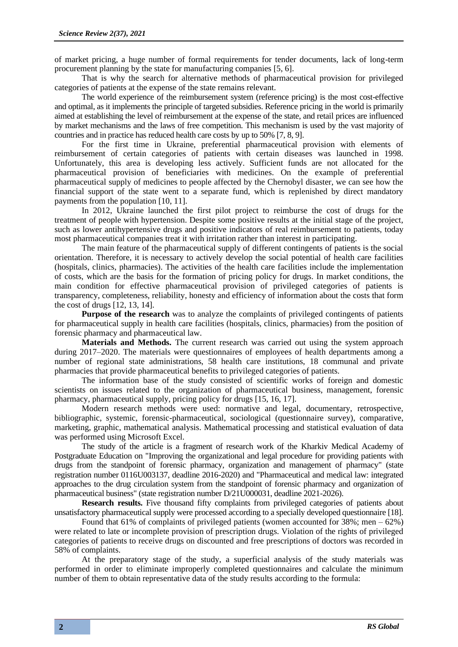of market pricing, a huge number of formal requirements for tender documents, lack of long-term procurement planning by the state for manufacturing companies [5, 6].

That is why the search for alternative methods of pharmaceutical provision for privileged categories of patients at the expense of the state remains relevant.

The world experience of the reimbursement system (reference pricing) is the most cost-effective and optimal, as it implements the principle of targeted subsidies. Reference pricing in the world is primarily aimed at establishing the level of reimbursement at the expense of the state, and retail prices are influenced by market mechanisms and the laws of free competition. This mechanism is used by the vast majority of countries and in practice has reduced health care costs by up to 50% [7, 8, 9].

For the first time in Ukraine, preferential pharmaceutical provision with elements of reimbursement of certain categories of patients with certain diseases was launched in 1998. Unfortunately, this area is developing less actively. Sufficient funds are not allocated for the pharmaceutical provision of beneficiaries with medicines. On the example of preferential pharmaceutical supply of medicines to people affected by the Chernobyl disaster, we can see how the financial support of the state went to a separate fund, which is replenished by direct mandatory payments from the population [10, 11].

In 2012, Ukraine launched the first pilot project to reimburse the cost of drugs for the treatment of people with hypertension. Despite some positive results at the initial stage of the project, such as lower antihypertensive drugs and positive indicators of real reimbursement to patients, today most pharmaceutical companies treat it with irritation rather than interest in participating.

The main feature of the pharmaceutical supply of different contingents of patients is the social orientation. Therefore, it is necessary to actively develop the social potential of health care facilities (hospitals, clinics, pharmacies). The activities of the health care facilities include the implementation of costs, which are the basis for the formation of pricing policy for drugs. In market conditions, the main condition for effective pharmaceutical provision of privileged categories of patients is transparency, completeness, reliability, honesty and efficiency of information about the costs that form the cost of drugs [12, 13, 14].

Purpose of the research was to analyze the complaints of privileged contingents of patients for pharmaceutical supply in health care facilities (hospitals, clinics, pharmacies) from the position of forensic pharmacy and pharmaceutical law.

**Materials and Methods.** The current research was carried out using the system approach during 2017–2020. The materials were questionnaires of employees of health departments among a number of regional state administrations, 58 health care institutions, 18 communal and private pharmacies that provide pharmaceutical benefits to privileged categories of patients.

The information base of the study consisted of scientific works of foreign and domestic scientists on issues related to the organization of pharmaceutical business, management, forensic pharmacy, pharmaceutical supply, pricing policy for drugs [15, 16, 17].

Modern research methods were used: normative and legal, documentary, retrospective, bibliographic, systemic, forensic-pharmaceutical, sociological (questionnaire survey), comparative, marketing, graphic, mathematical analysis. Mathematical processing and statistical evaluation of data was performed using Microsoft Excel.

The study of the article is a fragment of research work of the Kharkiv Medical Academy of Postgraduate Education on "Improving the organizational and legal procedure for providing patients with drugs from the standpoint of forensic pharmacy, organization and management of pharmacy" (state registration number 0116U003137, deadline 2016-2020) and "Pharmaceutical and medical law: integrated approaches to the drug circulation system from the standpoint of forensic pharmacy and organization of pharmaceutical business" (state registration number D/21U000031, deadline 2021-2026).

**Research results.** Five thousand fifty complaints from privileged categories of patients about unsatisfactory pharmaceutical supply were processed according to a specially developed questionnaire [18].

Found that 61% of complaints of privileged patients (women accounted for 38%; men – 62%) were related to late or incomplete provision of prescription drugs. Violation of the rights of privileged categories of patients to receive drugs on discounted and free prescriptions of doctors was recorded in 58% of complaints.

At the preparatory stage of the study, a superficial analysis of the study materials was performed in order to eliminate improperly completed questionnaires and calculate the minimum number of them to obtain representative data of the study results according to the formula: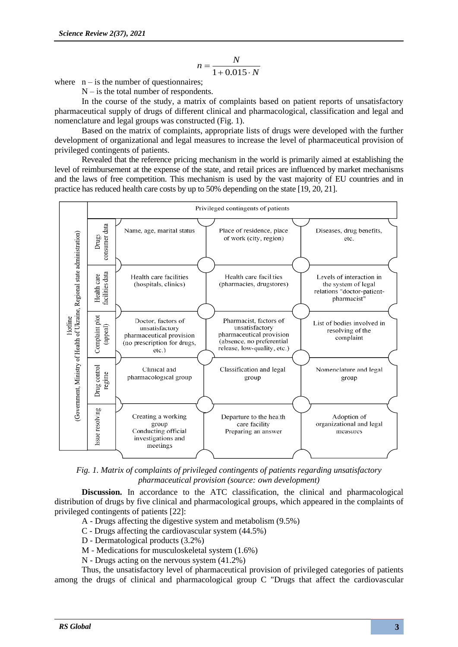$$
n = \frac{N}{1 + 0.015 \cdot N}
$$

where  $n - is$  the number of questionnaires;

 $N - i$ s the total number of respondents.

In the course of the study, a matrix of complaints based on patient reports of unsatisfactory pharmaceutical supply of drugs of different clinical and pharmacological, classification and legal and nomenclature and legal groups was constructed (Fig. 1).

Based on the matrix of complaints, appropriate lists of drugs were developed with the further development of organizational and legal measures to increase the level of pharmaceutical provision of privileged contingents of patients.

Revealed that the reference pricing mechanism in the world is primarily aimed at establishing the level of reimbursement at the expense of the state, and retail prices are influenced by market mechanisms and the laws of free competition. This mechanism is used by the vast majority of EU countries and in practice has reduced health care costs by up to 50% depending on the state [19, 20, 21].



*Fig. 1. Matrix of complaints of privileged contingents of patients regarding unsatisfactory pharmaceutical provision (source: own development)*

**Discussion.** In accordance to the ATC classification, the clinical and pharmacological distribution of drugs by five clinical and pharmacological groups, which appeared in the complaints of privileged contingents of patients [22]:

- A Drugs affecting the digestive system and metabolism (9.5%)
- C Drugs affecting the cardiovascular system (44.5%)
- D Dermatological products (3.2%)
- M Medications for musculoskeletal system (1.6%)
- N Drugs acting on the nervous system (41.2%)

Thus, the unsatisfactory level of pharmaceutical provision of privileged categories of patients among the drugs of clinical and pharmacological group C "Drugs that affect the cardiovascular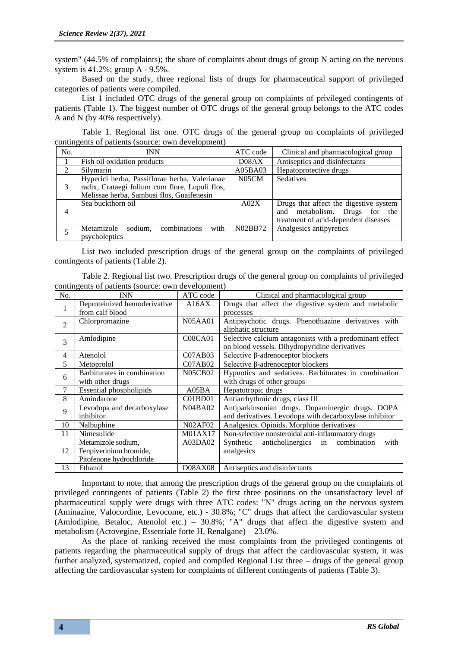system" (44.5% of complaints); the share of complaints about drugs of group N acting on the nervous system is 41.2%; group A - 9.5%.

Based on the study, three regional lists of drugs for pharmaceutical support of privileged categories of patients were compiled.

List 1 included OTC drugs of the general group on complaints of privileged contingents of patients (Table 1). The biggest number of OTC drugs of the general group belongs to the ATC codes A and N (by 40% respectively).

Table 1. Regional list one. OTC drugs of the general group on complaints of privileged contingents of patients (source: own development)

| No.           | <b>INN</b>                                                                                                                                   | ATC code | Clinical and pharmacological group                                                                                 |
|---------------|----------------------------------------------------------------------------------------------------------------------------------------------|----------|--------------------------------------------------------------------------------------------------------------------|
|               | Fish oil oxidation products                                                                                                                  | D08AX    | Antiseptics and disinfectants                                                                                      |
| $\mathcal{D}$ | Silvmarin                                                                                                                                    | A05BA03  | Hepatoprotective drugs                                                                                             |
| 3             | Hyperici herba, Passiflorae herba, Valerianae<br>radix, Crataegi folium cum flore, Lupuli flos,<br>Melissae herba, Sambusi flos, Guaifenesin | N05CM    | Sedatives                                                                                                          |
| 4             | Sea buckthorn oil                                                                                                                            | A02X     | Drugs that affect the digestive system<br>and metabolism. Drugs for<br>the<br>treatment of acid-dependent diseases |
|               | combinations<br>with<br>Metamizole<br>sodium.<br>psycholeptics                                                                               | N02BB72  | Analgesics antipyretics                                                                                            |

List two included prescription drugs of the general group on the complaints of privileged contingents of patients (Table 2).

| Table 2. Regional list two. Prescription drugs of the general group on complaints of privileged |  |  |  |
|-------------------------------------------------------------------------------------------------|--|--|--|
| contingents of patients (source: own development)                                               |  |  |  |

| No.            | <b>INN</b>                                      | ATC code            | Clinical and pharmacological group                                                                       |  |  |
|----------------|-------------------------------------------------|---------------------|----------------------------------------------------------------------------------------------------------|--|--|
| 1              | Deproteinized hemoderivative<br>from calf blood | A16AX               | Drugs that affect the digestive system and metabolic<br>processes                                        |  |  |
| $\mathfrak{D}$ | Chlorpromazine                                  | <b>N05AA01</b>      | Antipsychotic drugs. Phenothiazine derivatives with<br>aliphatic structure                               |  |  |
| 3              | Amlodipine                                      | <b>C08CA01</b>      | Selective calcium antagonists with a predominant effect<br>on blood vessels. Dihydropyridine derivatives |  |  |
| 4              | Atenolol                                        | CO7AB03             | Selective β-adrenoceptor blockers                                                                        |  |  |
| 5              | Metoprolol                                      | CO7AB02             | Selective β-adrenoceptor blockers                                                                        |  |  |
| 6              | Barbiturates in combination                     | <b>N05CB02</b>      | Hypnotics and sedatives. Barbiturates in combination                                                     |  |  |
| 7              | with other drugs                                |                     | with drugs of other groups                                                                               |  |  |
|                | Essential phospholipids                         | A05BA               | Hepatotropic drugs                                                                                       |  |  |
| 8              | Amiodarone                                      | CO1BD01             | Antiarrhythmic drugs, class III                                                                          |  |  |
| 9              | Levodopa and decarboxylase                      | N04BA02             | Antiparkinsonian drugs. Dopaminergic drugs. DOPA                                                         |  |  |
|                | inhibitor                                       |                     | and derivatives. Levodopa with decarboxylase inhibitor                                                   |  |  |
| 10             | Nalbuphine                                      | <b>N02AF02</b>      | Analgesics. Opioids. Morphine derivatives                                                                |  |  |
| 11             | Nimesulide                                      | M01AX17             | Non-selective nonsteroidal anti-inflammatory drugs                                                       |  |  |
|                | Metamizole sodium,                              | A03D <sub>A02</sub> | Synthetic anticholinergics in<br>with<br>combination                                                     |  |  |
| 12             | Fenpiverinium bromide,                          |                     | analgesics                                                                                               |  |  |
|                | Pitofenone hydrochloride                        |                     |                                                                                                          |  |  |
| 13             | Ethanol                                         | <b>D08AX08</b>      | Antiseptics and disinfectants                                                                            |  |  |

Important to note, that among the prescription drugs of the general group on the complaints of privileged contingents of patients (Table 2) the first three positions on the unsatisfactory level of pharmaceutical supply were drugs with three ATC codes: "N" drugs acting on the nervous system (Aminazine, Valocordine, Levocome, etc.) - 30.8%; "C" drugs that affect the cardiovascular system (Amlodipine, Betaloc, Atenolol etc.) – 30.8%; "A" drugs that affect the digestive system and metabolism (Actovegine, Essentiale forte H, Renalgane) – 23.0%.

As the place of ranking received the most complaints from the privileged contingents of patients regarding the pharmaceutical supply of drugs that affect the cardiovascular system, it was further analyzed, systematized, copied and compiled Regional List three – drugs of the general group affecting the cardiovascular system for complaints of different contingents of patients (Table 3).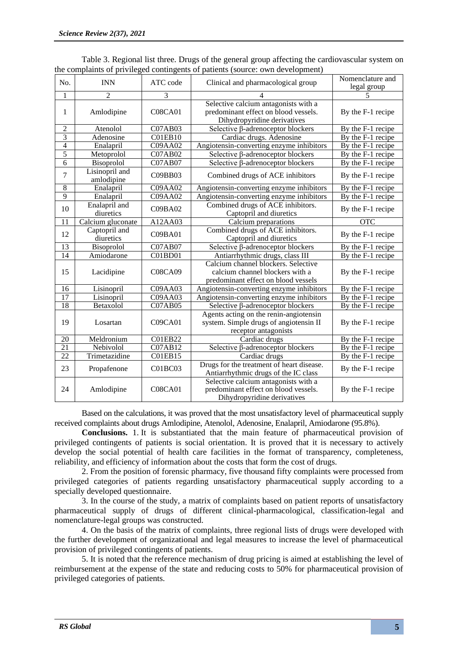| No.             | <b>INN</b>                   | ATC code       | Clinical and pharmacological group                                                                            | Nomenclature and<br>legal group |
|-----------------|------------------------------|----------------|---------------------------------------------------------------------------------------------------------------|---------------------------------|
| 1               | $\overline{2}$               | 3              |                                                                                                               |                                 |
| 1               | Amlodipine                   | <b>C08CA01</b> | Selective calcium antagonists with a<br>predominant effect on blood vessels.<br>Dihydropyridine derivatives   | By the F-1 recipe               |
| $\overline{c}$  | Atenolol                     | <b>C07AB03</b> | Selective $\beta$ -adrenoceptor blockers                                                                      | By the F-1 recipe               |
| $\overline{3}$  | Adenosine                    | CO1EB10        | Cardiac drugs. Adenosine                                                                                      | By the $F-1$ recipe             |
| $\overline{4}$  | Enalapril                    | C09AA02        | Angiotensin-converting enzyme inhibitors                                                                      | By the F-1 recipe               |
| 5               | Metoprolol                   | C07AB02        | Selective $\beta$ -adrenoceptor blockers                                                                      | By the F-1 recipe               |
| 6               | Bisoprolol                   | <b>C07AB07</b> | Selective β-adrenoceptor blockers                                                                             | By the F-1 recipe               |
| 7               | Lisinopril and<br>amlodipine | C09BB03        | Combined drugs of ACE inhibitors                                                                              | By the F-1 recipe               |
| $8\,$           | Enalapril                    | C09AA02        | Angiotensin-converting enzyme inhibitors                                                                      | By the F-1 recipe               |
| $\overline{9}$  | Enalapril                    | <b>C09AA02</b> | Angiotensin-converting enzyme inhibitors                                                                      | By the F-1 recipe               |
| 10              | Enalapril and<br>diuretics   | CO9BAO2        | Combined drugs of ACE inhibitors.<br>Captopril and diuretics                                                  | By the F-1 recipe               |
| 11              | Calcium gluconate            | A12AA03        | Calcium preparations                                                                                          | $\overline{OTC}$                |
| 12              | Captopril and<br>diuretics   | C09BA01        | Combined drugs of ACE inhibitors.<br>Captopril and diuretics                                                  | By the F-1 recipe               |
| $\overline{13}$ | Bisoprolol                   | <b>C07AB07</b> | Selective $\beta$ -adrenoceptor blockers                                                                      | By the F-1 recipe               |
| $\overline{14}$ | Amiodarone                   | C01BD01        | Antiarrhythmic drugs, class III                                                                               | By the F-1 recipe               |
| 15              | Lacidipine                   | <b>C08CA09</b> | Calcium channel blockers. Selective<br>calcium channel blockers with a<br>predominant effect on blood vessels | By the F-1 recipe               |
| 16              | Lisinopril                   | C09AA03        | Angiotensin-converting enzyme inhibitors                                                                      | By the F-1 recipe               |
| $\overline{17}$ | Lisinopril                   | C09AA03        | Angiotensin-converting enzyme inhibitors                                                                      | By the F-1 recipe               |
| 18              | Betaxolol                    | <b>C07AB05</b> | Selective <b>ß</b> -adrenoceptor blockers                                                                     | By the F-1 recipe               |
| 19              | Losartan                     | <b>C09CA01</b> | Agents acting on the renin-angiotensin<br>system. Simple drugs of angiotensin II<br>receptor antagonists      | By the F-1 recipe               |
| 20              | Meldronium                   | C01EB22        | Cardiac drugs                                                                                                 | By the F-1 recipe               |
| $\overline{21}$ | Nebivolol                    | C07AB12        | Selective β-adrenoceptor blockers                                                                             | By the F-1 recipe               |
| 22              | Trimetazidine                | C01EB15        | Cardiac drugs                                                                                                 | By the F-1 recipe               |
| 23              | Propafenone                  | C01BC03        | Drugs for the treatment of heart disease.<br>Antiarrhythmic drugs of the IC class                             | By the F-1 recipe               |
| 24              | Amlodipine                   | <b>C08CA01</b> | Selective calcium antagonists with a<br>predominant effect on blood vessels.<br>Dihydropyridine derivatives   | By the F-1 recipe               |

Table 3. Regional list three. Drugs of the general group affecting the cardiovascular system on the complaints of privileged contingents of patients (source: own development)

Based on the calculations, it was proved that the most unsatisfactory level of pharmaceutical supply received complaints about drugs Amlodipine, Atenolol, Adenosine, Enalapril, Amiodarone (95.8%).

**Conclusions.** 1. It is substantiated that the main feature of pharmaceutical provision of privileged contingents of patients is social orientation. It is proved that it is necessary to actively develop the social potential of health care facilities in the format of transparency, completeness, reliability, and efficiency of information about the costs that form the cost of drugs.

2. From the position of forensic pharmacy, five thousand fifty complaints were processed from privileged categories of patients regarding unsatisfactory pharmaceutical supply according to a specially developed questionnaire.

3. In the course of the study, a matrix of complaints based on patient reports of unsatisfactory pharmaceutical supply of drugs of different clinical-pharmacological, classification-legal and nomenclature-legal groups was constructed.

4. On the basis of the matrix of complaints, three regional lists of drugs were developed with the further development of organizational and legal measures to increase the level of pharmaceutical provision of privileged contingents of patients.

5. It is noted that the reference mechanism of drug pricing is aimed at establishing the level of reimbursement at the expense of the state and reducing costs to 50% for pharmaceutical provision of privileged categories of patients.